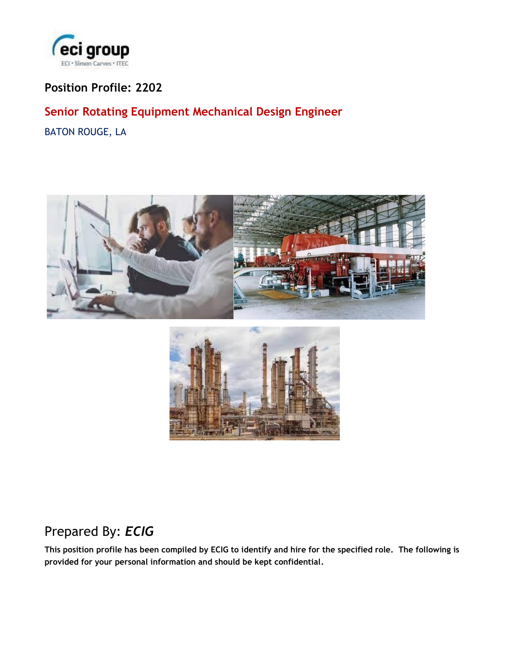

## **Position Profile: 2202**

## **Senior Rotating Equipment Mechanical Design Engineer**

BATON ROUGE, LA





# Prepared By: *ECIG*

**This position profile has been compiled by ECIG to identify and hire for the specified role. The following is provided for your personal information and should be kept confidential.**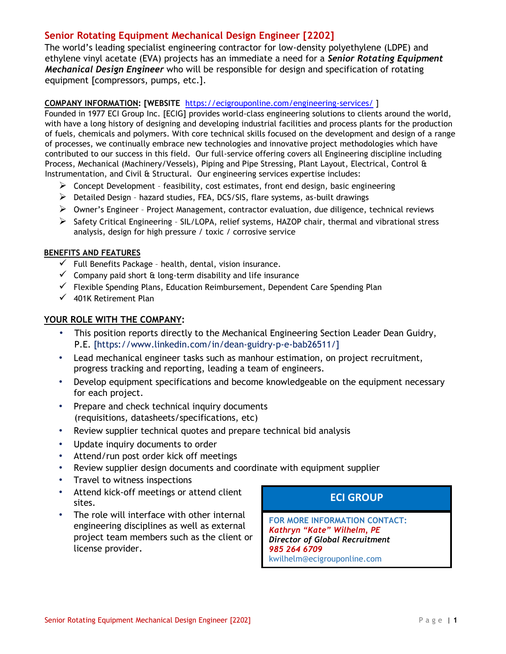### **Senior Rotating Equipment Mechanical Design Engineer [2202]**

The world's leading specialist engineering contractor for low-density polyethylene (LDPE) and ethylene vinyl acetate (EVA) projects has an immediate a need for a *Senior Rotating Equipment Mechanical Design Engineer* who will be responsible for design and specification of rotating equipment [compressors, pumps, etc.].

#### **COMPANY INFORMATION: [WEBSIT[E](https://ecigrouponline.com/engineering-services/)** <https://ecigrouponline.com/engineering-services/> [\]](https://ecigrouponline.com/engineering-services/)

Founded in 1977 ECI Group Inc. [ECIG] provides world-class engineering solutions to clients around the world, with have a long history of designing and developing industrial facilities and process plants for the production of fuels, chemicals and polymers. With core technical skills focused on the development and design of a range of processes, we continually embrace new technologies and innovative project methodologies which have contributed to our success in this field. Our full-service offering covers all Engineering discipline including Process, Mechanical (Machinery/Vessels), Piping and Pipe Stressing, Plant Layout, Electrical, Control & Instrumentation, and Civil & Structural. Our engineering services expertise includes:

- $\triangleright$  Concept Development feasibility, cost estimates, front end design, basic engineering
- $\triangleright$  Detailed Design hazard studies, FEA, DCS/SIS, flare systems, as-built drawings
- ➢ Owner's Engineer Project Management, contractor evaluation, due diligence, technical reviews
- ➢ Safety Critical Engineering SIL/LOPA, relief systems, HAZOP chair, thermal and vibrational stress analysis, design for high pressure / toxic / corrosive service

#### **BENEFITS AND FEATURES**

- $\checkmark$  Full Benefits Package health, dental, vision insurance.
- $\checkmark$  Company paid short & long-term disability and life insurance
- ✓ Flexible Spending Plans, Education Reimbursement, Dependent Care Spending Plan
- $\checkmark$  401K Retirement Plan

#### **YOUR ROLE WITH THE COMPANY:**

- This position reports directly to the Mechanical Engineering Section Leader Dean Guidry, P.E. [https://www.linkedin.com/in/dean-guidry-p-e-bab26511/]
- Lead mechanical engineer tasks such as manhour estimation, on project recruitment, progress tracking and reporting, leading a team of engineers.
- Develop equipment specifications and become knowledgeable on the equipment necessary for each project.
- Prepare and check technical inquiry documents (requisitions, datasheets/specifications, etc)
- Review supplier technical quotes and prepare technical bid analysis
- Update inquiry documents to order
- Attend/run post order kick off meetings
- Review supplier design documents and coordinate with equipment supplier
- Travel to witness inspections
- Attend kick-off meetings or attend client sites.
- The role will interface with other internal engineering disciplines as well as external project team members such as the client or license provider.

**ECI GROUP**

**FOR MORE INFORMATION CONTACT:** *Kathryn "Kate" Wilhelm, PE Director of Global Recruitment 985 264 6709* kwilhelm@ecigrouponline.com